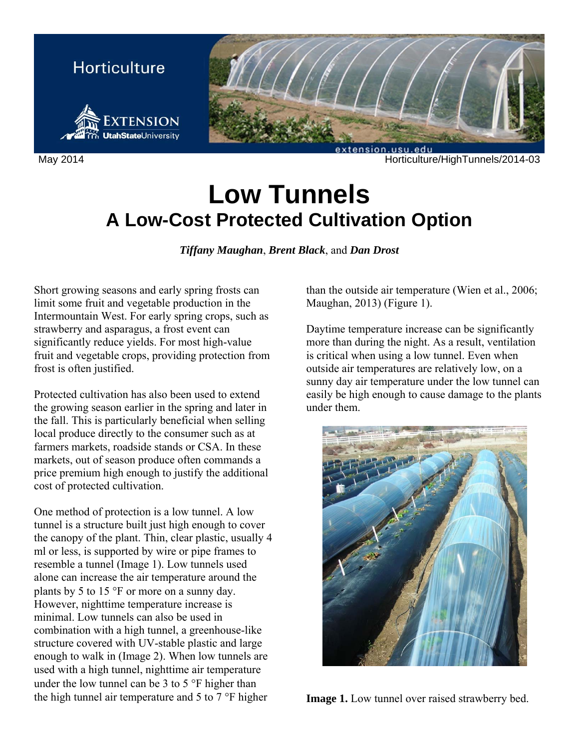

May 2014 **Max 2014 Max 2014** Horticulture/HighTunnels/2014-03

# **Low Tunnels A Low-Cost Protected Cultivation Option**

*Tiffany Maughan*, *Brent Black*, and *Dan Drost*

Short growing seasons and early spring frosts can limit some fruit and vegetable production in the Intermountain West. For early spring crops, such as strawberry and asparagus, a frost event can significantly reduce yields. For most high-value fruit and vegetable crops, providing protection from frost is often justified.

Protected cultivation has also been used to extend the growing season earlier in the spring and later in the fall. This is particularly beneficial when selling local produce directly to the consumer such as at farmers markets, roadside stands or CSA. In these markets, out of season produce often commands a price premium high enough to justify the additional cost of protected cultivation.

One method of protection is a low tunnel. A low tunnel is a structure built just high enough to cover the canopy of the plant. Thin, clear plastic, usually 4 ml or less, is supported by wire or pipe frames to resemble a tunnel (Image 1). Low tunnels used alone can increase the air temperature around the plants by 5 to 15  $\degree$ F or more on a sunny day. However, nighttime temperature increase is minimal. Low tunnels can also be used in combination with a high tunnel, a greenhouse-like structure covered with UV-stable plastic and large enough to walk in (Image 2). When low tunnels are used with a high tunnel, nighttime air temperature under the low tunnel can be 3 to 5  $\degree$ F higher than the high tunnel air temperature and  $5$  to  $7$  °F higher

than the outside air temperature (Wien et al., 2006; Maughan, 2013) (Figure 1).

Daytime temperature increase can be significantly more than during the night. As a result, ventilation is critical when using a low tunnel. Even when outside air temperatures are relatively low, on a sunny day air temperature under the low tunnel can easily be high enough to cause damage to the plants under them.



**Image 1.** Low tunnel over raised strawberry bed.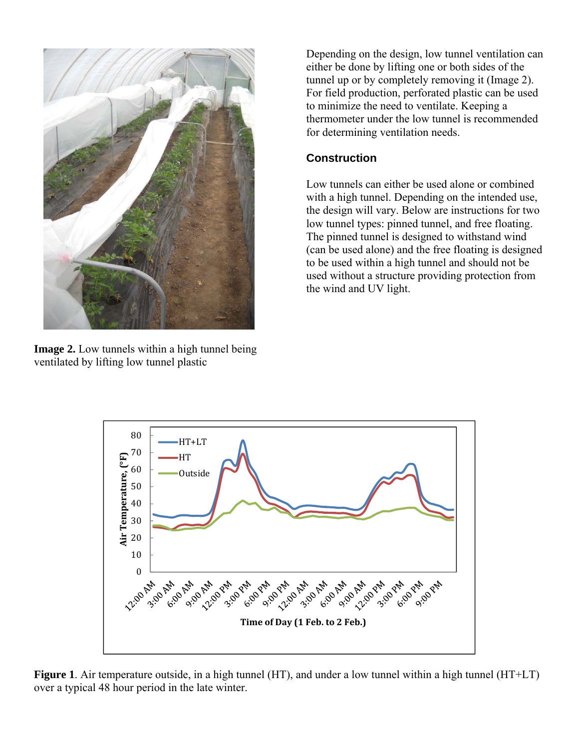

**Image 2.** Low tunnels within a high tunnel being ventilated by lifting low tunnel plastic

Depending on the design, low tunnel ventilation can either be done by lifting one or both sides of the tunnel up or by completely removing it (Image 2). For field production, perforated plastic can be used to minimize the need to ventilate. Keeping a thermometer under the low tunnel is recommended for determining ventilation needs.

#### **Construction**

Low tunnels can either be used alone or combined with a high tunnel. Depending on the intended use, the design will vary. Below are instructions for two low tunnel types: pinned tunnel, and free floating. The pinned tunnel is designed to withstand wind (can be used alone) and the free floating is designed to be used within a high tunnel and should not be used without a structure providing protection from the wind and UV light.



**Figure 1**. Air temperature outside, in a high tunnel (HT), and under a low tunnel within a high tunnel (HT+LT) over a typical 48 hour period in the late winter.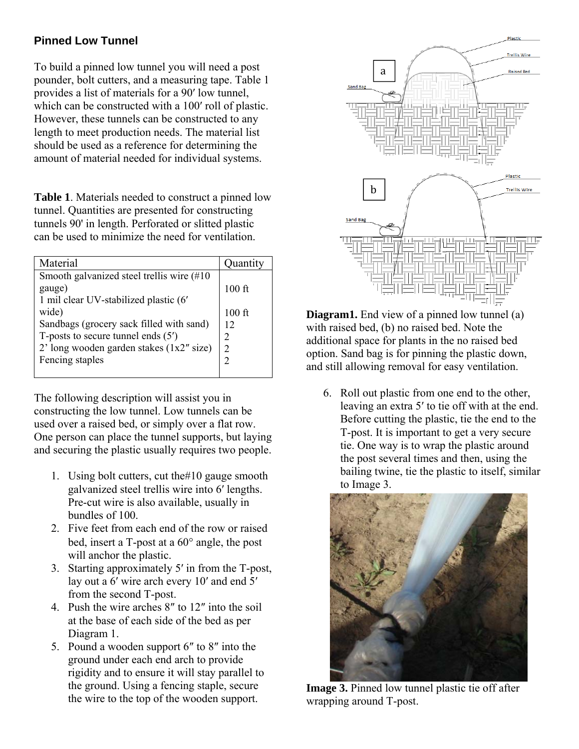## **Pinned Low Tunnel**

To build a pinned low tunnel you will need a post pounder, bolt cutters, and a measuring tape. Table 1 provides a list of materials for a 90′ low tunnel, which can be constructed with a 100′ roll of plastic. However, these tunnels can be constructed to any length to meet production needs. The material list should be used as a reference for determining the amount of material needed for individual systems.

**Table 1**. Materials needed to construct a pinned low tunnel. Quantities are presented for constructing tunnels 90' in length. Perforated or slitted plastic can be used to minimize the need for ventilation.

| Material                                   | Quantity       |
|--------------------------------------------|----------------|
| Smooth galvanized steel trellis wire (#10) |                |
| gauge)                                     | $100$ ft       |
| 1 mil clear UV-stabilized plastic (6'      |                |
| wide)                                      | $100$ ft       |
| Sandbags (grocery sack filled with sand)   | 12             |
| T-posts to secure tunnel ends $(5')$       | 2              |
| $2'$ long wooden garden stakes (1x2" size) | $\mathfrak{D}$ |
| Fencing staples                            |                |
|                                            |                |

The following description will assist you in constructing the low tunnel. Low tunnels can be used over a raised bed, or simply over a flat row. One person can place the tunnel supports, but laying and securing the plastic usually requires two people.

- 1. Using bolt cutters, cut the#10 gauge smooth galvanized steel trellis wire into 6′ lengths. Pre-cut wire is also available, usually in bundles of 100.
- 2. Five feet from each end of the row or raised bed, insert a  $T$ -post at a  $60^\circ$  angle, the post will anchor the plastic.
- 3. Starting approximately 5′ in from the T-post, lay out a 6′ wire arch every 10′ and end 5′ from the second T-post.
- 4. Push the wire arches 8″ to 12″ into the soil at the base of each side of the bed as per Diagram 1.
- 5. Pound a wooden support 6″ to 8″ into the ground under each end arch to provide rigidity and to ensure it will stay parallel to the ground. Using a fencing staple, secure the wire to the top of the wooden support.



**Diagram1.** End view of a pinned low tunnel (a) with raised bed, (b) no raised bed. Note the additional space for plants in the no raised bed option. Sand bag is for pinning the plastic down, and still allowing removal for easy ventilation.

6. Roll out plastic from one end to the other, leaving an extra 5′ to tie off with at the end. Before cutting the plastic, tie the end to the T-post. It is important to get a very secure tie. One way is to wrap the plastic around the post several times and then, using the bailing twine, tie the plastic to itself, similar to Image 3.



**Image 3.** Pinned low tunnel plastic tie off after wrapping around T-post.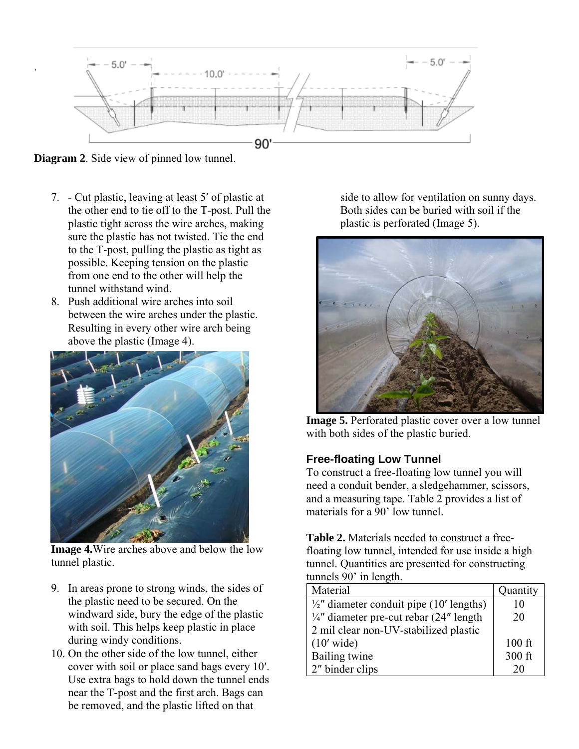

**Diagram 2**. Side view of pinned low tunnel.

.

- 7. Cut plastic, leaving at least 5′ of plastic at the other end to tie off to the T-post. Pull the plastic tight across the wire arches, making sure the plastic has not twisted. Tie the end to the T-post, pulling the plastic as tight as possible. Keeping tension on the plastic from one end to the other will help the tunnel withstand wind.
- 8. Push additional wire arches into soil between the wire arches under the plastic. Resulting in every other wire arch being above the plastic (Image 4).



**Image 4.**Wire arches above and below the low tunnel plastic.

- 9. In areas prone to strong winds, the sides of the plastic need to be secured. On the windward side, bury the edge of the plastic with soil. This helps keep plastic in place during windy conditions.
- 10. On the other side of the low tunnel, either cover with soil or place sand bags every 10′. Use extra bags to hold down the tunnel ends near the T-post and the first arch. Bags can be removed, and the plastic lifted on that

side to allow for ventilation on sunny days. Both sides can be buried with soil if the plastic is perforated (Image 5).



**Image 5.** Perforated plastic cover over a low tunnel with both sides of the plastic buried.

#### **Free-floating Low Tunnel**

To construct a free-floating low tunnel you will need a conduit bender, a sledgehammer, scissors, and a measuring tape. Table 2 provides a list of materials for a 90' low tunnel.

**Table 2.** Materials needed to construct a freefloating low tunnel, intended for use inside a high tunnel. Quantities are presented for constructing tunnels 90' in length.

| Material                                            | Quantity |
|-----------------------------------------------------|----------|
| $\frac{1}{2}$ " diameter conduit pipe (10' lengths) | 10       |
| 1/4" diameter pre-cut rebar (24" length             | 20       |
| 2 mil clear non-UV-stabilized plastic               |          |
| $(10'$ wide)                                        | $100$ ft |
| Bailing twine                                       | 300 ft   |
| 2" binder clips                                     | 20       |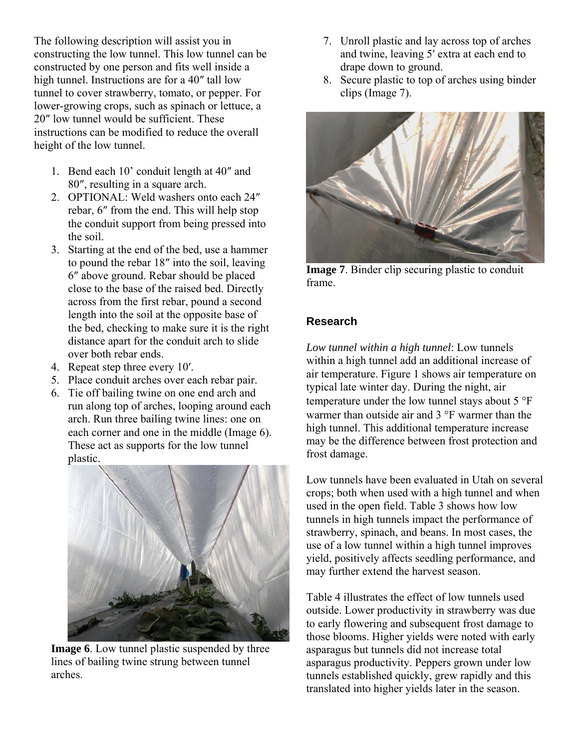The following description will assist you in constructing the low tunnel. This low tunnel can be constructed by one person and fits well inside a high tunnel. Instructions are for a 40″ tall low tunnel to cover strawberry, tomato, or pepper. For lower-growing crops, such as spinach or lettuce, a 20″ low tunnel would be sufficient. These instructions can be modified to reduce the overall height of the low tunnel.

- 1. Bend each 10' conduit length at 40″ and 80″, resulting in a square arch.
- 2. OPTIONAL: Weld washers onto each 24″ rebar, 6″ from the end. This will help stop the conduit support from being pressed into the soil.
- 3. Starting at the end of the bed, use a hammer to pound the rebar 18″ into the soil, leaving 6″ above ground. Rebar should be placed close to the base of the raised bed. Directly across from the first rebar, pound a second length into the soil at the opposite base of the bed, checking to make sure it is the right distance apart for the conduit arch to slide over both rebar ends.
- 4. Repeat step three every 10′.
- 5. Place conduit arches over each rebar pair.
- 6. Tie off bailing twine on one end arch and run along top of arches, looping around each arch. Run three bailing twine lines: one on each corner and one in the middle (Image 6). These act as supports for the low tunnel plastic.



**Image 6**. Low tunnel plastic suspended by three lines of bailing twine strung between tunnel arches.

- 7. Unroll plastic and lay across top of arches and twine, leaving 5′ extra at each end to drape down to ground.
- 8. Secure plastic to top of arches using binder clips (Image 7).



**Image 7**. Binder clip securing plastic to conduit frame.

### **Research**

*Low tunnel within a high tunnel*: Low tunnels within a high tunnel add an additional increase of air temperature. Figure 1 shows air temperature on typical late winter day. During the night, air temperature under the low tunnel stays about  $5^{\circ}F$ warmer than outside air and  $3^{\circ}$ F warmer than the high tunnel. This additional temperature increase may be the difference between frost protection and frost damage.

Low tunnels have been evaluated in Utah on several crops; both when used with a high tunnel and when used in the open field. Table 3 shows how low tunnels in high tunnels impact the performance of strawberry, spinach, and beans. In most cases, the use of a low tunnel within a high tunnel improves yield, positively affects seedling performance, and may further extend the harvest season.

Table 4 illustrates the effect of low tunnels used outside. Lower productivity in strawberry was due to early flowering and subsequent frost damage to those blooms. Higher yields were noted with early asparagus but tunnels did not increase total asparagus productivity. Peppers grown under low tunnels established quickly, grew rapidly and this translated into higher yields later in the season.